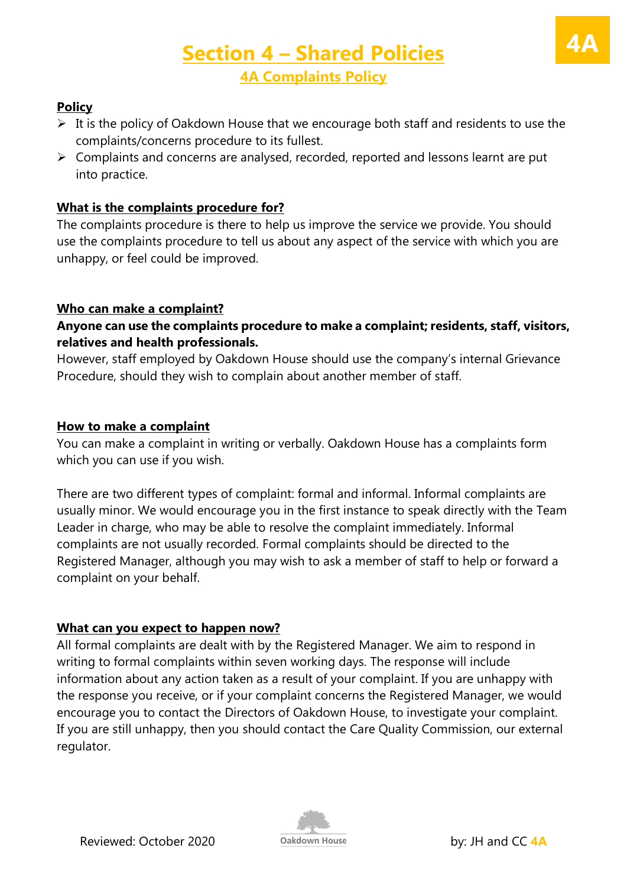# **Section 4 – Shared Policies 4A Complaints Policy**

### **Policy**

- $\triangleright$  It is the policy of Oakdown House that we encourage both staff and residents to use the complaints/concerns procedure to its fullest.
- $\triangleright$  Complaints and concerns are analysed, recorded, reported and lessons learnt are put into practice.

### **What is the complaints procedure for?**

The complaints procedure is there to help us improve the service we provide. You should use the complaints procedure to tell us about any aspect of the service with which you are unhappy, or feel could be improved.

### **Who can make a complaint?**

### **Anyone can use the complaints procedure to make a complaint; residents, staff, visitors, relatives and health professionals.**

However, staff employed by Oakdown House should use the company's internal Grievance Procedure, should they wish to complain about another member of staff.

#### **How to make a complaint**

You can make a complaint in writing or verbally. Oakdown House has a complaints form which you can use if you wish.

There are two different types of complaint: formal and informal. Informal complaints are usually minor. We would encourage you in the first instance to speak directly with the Team Leader in charge, who may be able to resolve the complaint immediately. Informal complaints are not usually recorded. Formal complaints should be directed to the Registered Manager, although you may wish to ask a member of staff to help or forward a complaint on your behalf.

### **What can you expect to happen now?**

All formal complaints are dealt with by the Registered Manager. We aim to respond in writing to formal complaints within seven working days. The response will include information about any action taken as a result of your complaint. If you are unhappy with the response you receive, or if your complaint concerns the Registered Manager, we would encourage you to contact the Directors of Oakdown House, to investigate your complaint. If you are still unhappy, then you should contact the Care Quality Commission, our external regulator.

**4A**

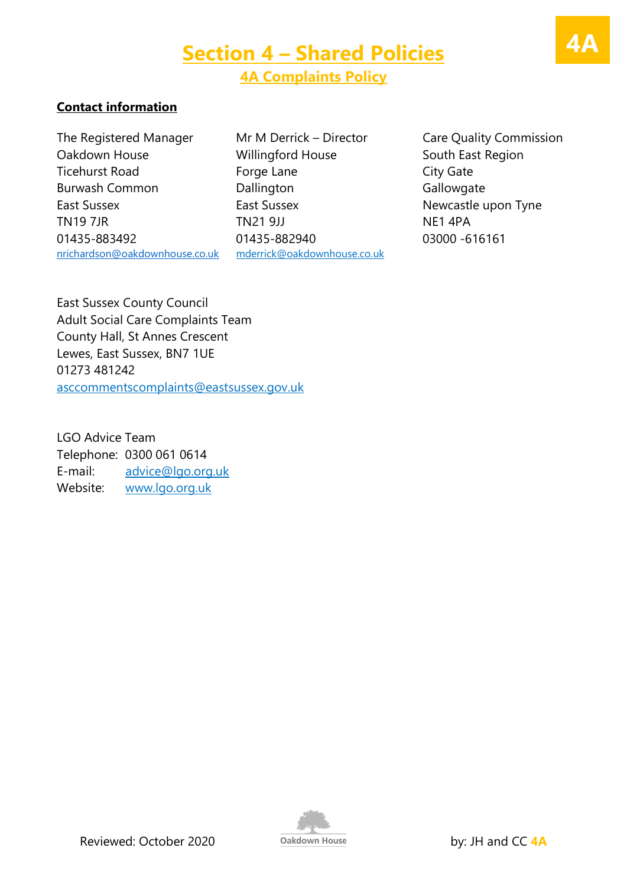#### **Contact information**

The Registered Manager Mr M Derrick – Director Care Quality Commission Oakdown House **Millingford House** South East Region Ticehurst Road **Forge Lane** Forge Lane City Gate Burwash Common **Dallington** Dallington Gallowgate East Sussex East Sussex East Sussex Newcastle upon Tyne TN19 7JR TN21 9JJ NE1 4PA 01435-883492 01435-882940 03000 -616161 [nrichardson@oakdownhouse.co.uk](mailto:nrichardson@oakdownhouse.co.uk) [mderrick@oakdownhouse.co.uk](mailto:mderrick@oakdownhouse.co.uk)

East Sussex County Council Adult Social Care Complaints Team County Hall, St Annes Crescent Lewes, East Sussex, BN7 1UE 01273 481242 [asccommentscomplaints@eastsussex.gov.uk](mailto:asccommentscomplaints@eastsussex.gov.uk)

LGO Advice Team Telephone: 0300 061 0614 E-mail: [advice@lgo.org.uk](mailto:advice@lgo.org.uk) Website: [www.lgo.org.uk](http://www.lgo.org.uk/)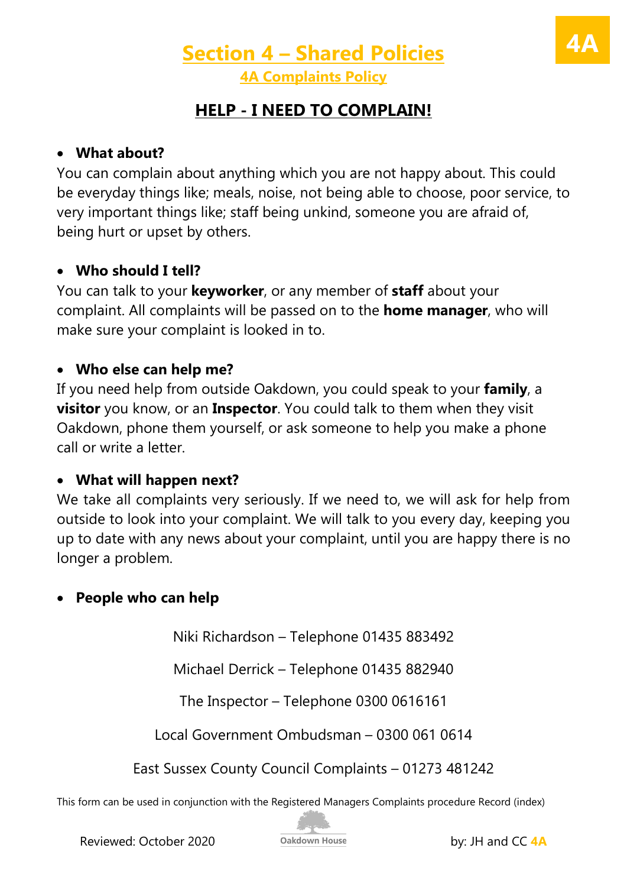# **Section 4 – Shared Policies 4A Complaints Policy**

## **HELP - I NEED TO COMPLAIN!**

## • **What about?**

You can complain about anything which you are not happy about. This could be everyday things like; meals, noise, not being able to choose, poor service, to very important things like; staff being unkind, someone you are afraid of, being hurt or upset by others.

## • **Who should I tell?**

You can talk to your **keyworker**, or any member of **staff** about your complaint. All complaints will be passed on to the **home manager**, who will make sure your complaint is looked in to.

### • **Who else can help me?**

If you need help from outside Oakdown, you could speak to your **family**, a **visitor** you know, or an **Inspector**. You could talk to them when they visit Oakdown, phone them yourself, or ask someone to help you make a phone call or write a letter.

## • **What will happen next?**

We take all complaints very seriously. If we need to, we will ask for help from outside to look into your complaint. We will talk to you every day, keeping you up to date with any news about your complaint, until you are happy there is no longer a problem.

## • **People who can help**

Niki Richardson – Telephone 01435 883492

Michael Derrick – Telephone 01435 882940

The Inspector – Telephone 0300 0616161

Local Government Ombudsman – 0300 061 0614

East Sussex County Council Complaints – 01273 481242

This form can be used in conjunction with the Registered Managers Complaints procedure Record (index)